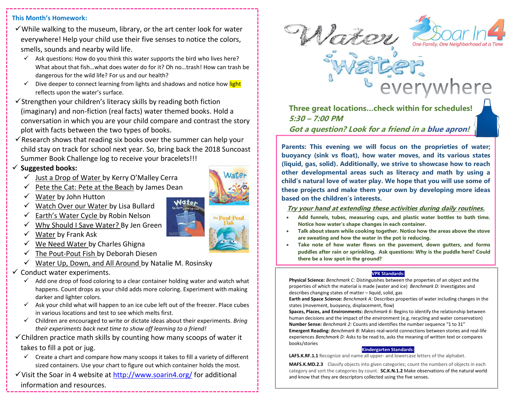### **This Month's Homework:**

- $\checkmark$  While walking to the museum, library, or the art center look for water everywhere! Help your child use their five senses to notice the colors, smells, sounds and nearby wild life.
	- $\checkmark$  Ask questions: How do you think this water supports the bird who lives here? What about that fish…what does water do for it? Oh no…trash! How can trash be dangerous for the wild life? For us and our health?
	- $\checkmark$  Dive deeper to connect learning from lights and shadows and notice how light reflects upon the water's surface.
- $\checkmark$ Strengthen your children's literacy skills by reading both fiction (imaginary) and non-fiction (real facts) water themed books. Hold a conversation in which you are your child compare and contrast the story plot with facts between the two types of books.
- $\checkmark$  Research shows that reading six books over the summer can help your child stay on track for school next year. So, bring back the 2018 Suncoast Summer Book Challenge log to receive your bracelets!!!

### ✓ **Suggested books:**

- ✓ Just a Drop of Water by Kerry O'Malley Cerra
- Pete the Cat: Pete at the Beach by James Dean
- ✓ Water by John Hutton
- ✓ Watch Over our Water by Lisa Bullard
- $\checkmark$  Earth's Water Cycle by Robin Nelson
- ✓ Why Should I Save Water? By Jen Green
- $\checkmark$  Water by Frank Ask
- We Need Water by Charles Ghigna
- ✓ The Pout-Pout Fish by Deborah Diesen
- $\checkmark$  Water Up, Down, and All Around by Natalie M. Rosinsky
- $\checkmark$  Conduct water experiments.
	- $\checkmark$  Add one drop of food coloring to a clear container holding water and watch what happens. Count drops as your child adds more coloring. Experiment with making darker and lighter colors.
	- $\checkmark$  Ask your child what will happen to an ice cube left out of the freezer. Place cubes in various locations and test to see which melts first.
	- ✓ Children are encouraged to write or dictate ideas about their experiments. *Bring their experiments back next time to show off learning to a friend!*

 $\checkmark$  Children practice math skills by counting how many scoops of water it

## takes to fill a pot or jug.

- $\checkmark$  Create a chart and compare how many scoops it takes to fill a variety of different sized containers. Use your chart to figure out which container holds the most.
- ✓Visit the Soar in 4 website at<http://www.soarin4.org/> for additional information and resources. --------------





everywhere

**Three great locations…check within for schedules! 5:30 – 7:00 PM Got a question? Look for a friend in a blue apron!**

**Parents: This evening we will focus on the proprieties of water; buoyancy (sink vs float), how water moves, and its various states (liquid, gas, solid). Additionally, we strive to showcase how to reach other developmental areas such as literacy and math by using a child's natural love of water play. We hope that you will use some of these projects and make them your own by developing more ideas based on the children's interests.**

### **Try your hand at extending these activities during daily routines.**

- **Add funnels, tubes, measuring cups, and plastic water bottles to bath time. Notice how water's shape changes in each container.**
- **Talk about steam while cooking together. Notice how the areas above the stove are sweating and how the water in the pot is reducing.**
- **Take note of how water flows on the pavement, down gutters, and forms puddles after rain or sprinkling. Ask questions: Why is the puddle here? Could there be a low spot in the ground?**

#### **VPK Standards:**

**Physical Science:** *Benchmark C:* Distinguishes between the properties of an object and the properties of which the material is made (water and ice)*Benchmark D:* Investigates and describes changing states of matter – liquid, solid, gas

**Earth and Space Science:** *Benchmark A:* Describes properties of water including changes in the states (movement, buoyancy, displacement, flow)

**Spaces, Places, and Environments:** *Benchmark 6*: Begins to identify the relationship between human decisions and the impact of the environment (e.g. recycling and water conservation) **Number Sense:** *Benchmark 2:* Counts and identifies the number sequence "1 to 31" **Emergent Reading:** *Benchmark B:* Makes real-world connections between stories and real-life experiences *Benchmark D:* Asks to be read to, asks the meaning of written text or compares books/stories

#### **Kindergarten Standards:**

**LAFS.K.RF.1.1** Recognize and name all upper- and lowercase letters of the alphabet.

**MAFS.K.MD.2.3** Classify objects into given categories; count the numbers of objects in each category and sort the categories by count. **SC.K.N.1.2** Make observations of the natural world and know that they are descriptors collected using the five senses.